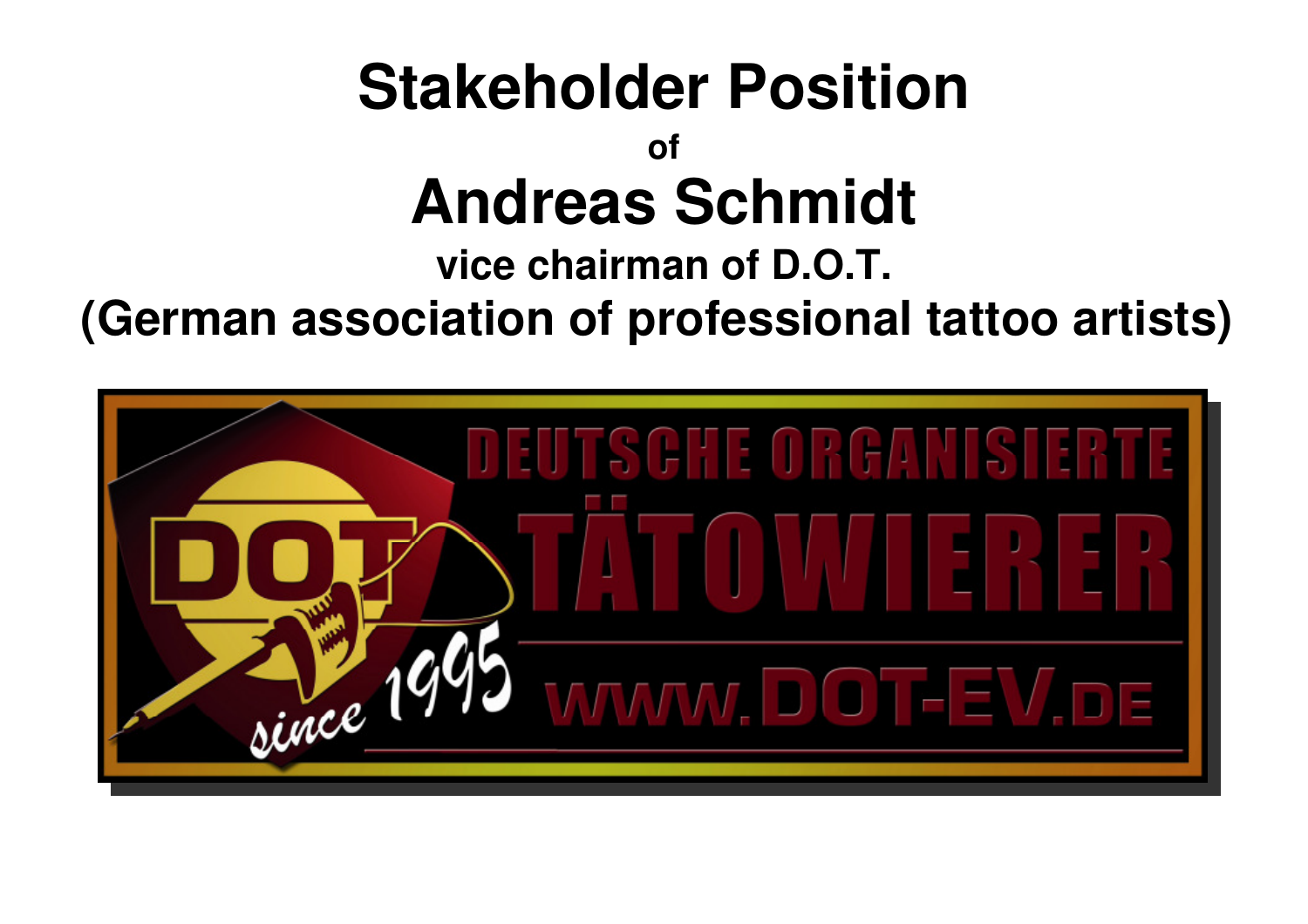# **Stakeholder Position**

## **ofAndreas Schmidt**

### **vice chairman of D.O.T.**

## **(German association of professional tattoo artists)**

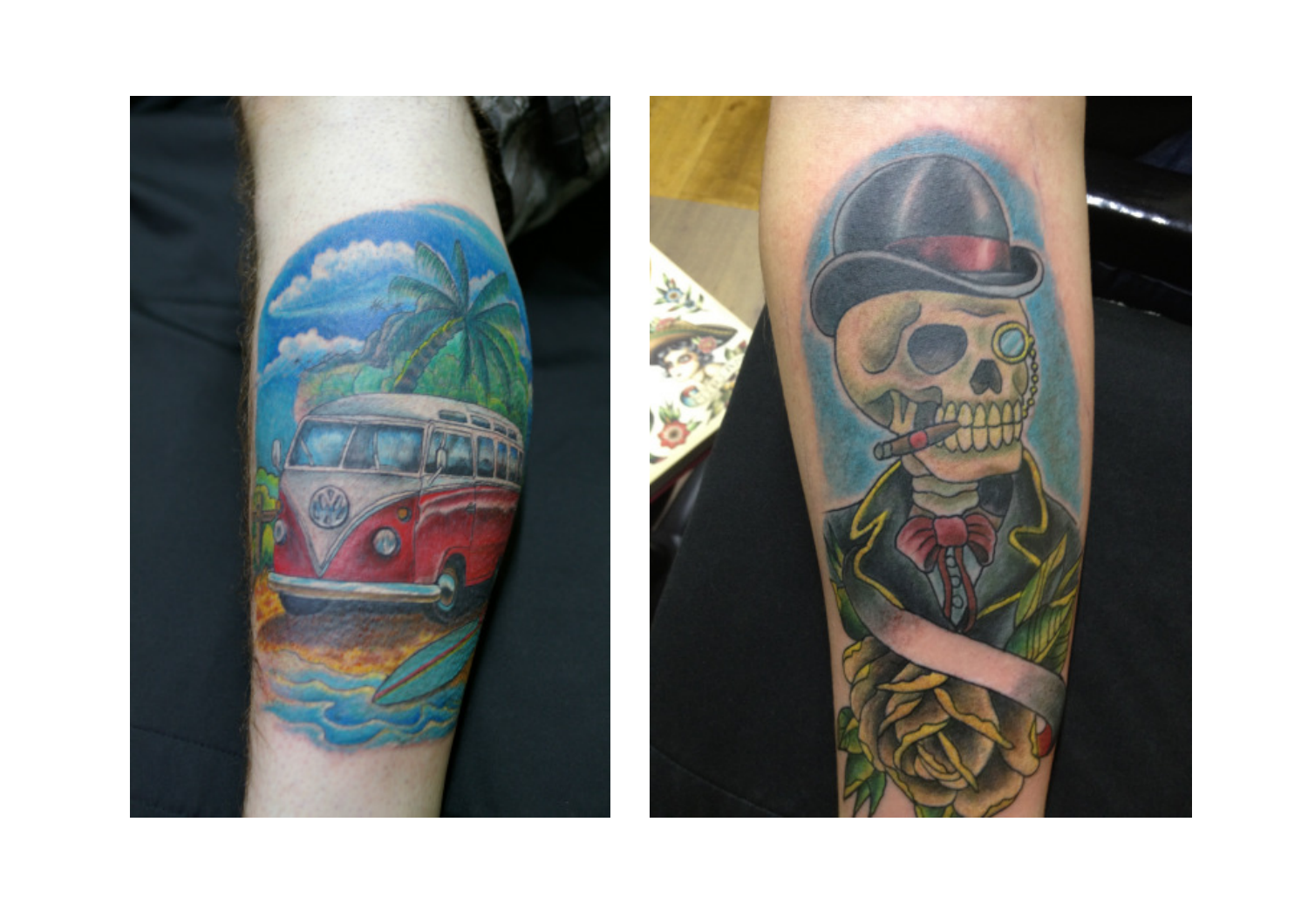

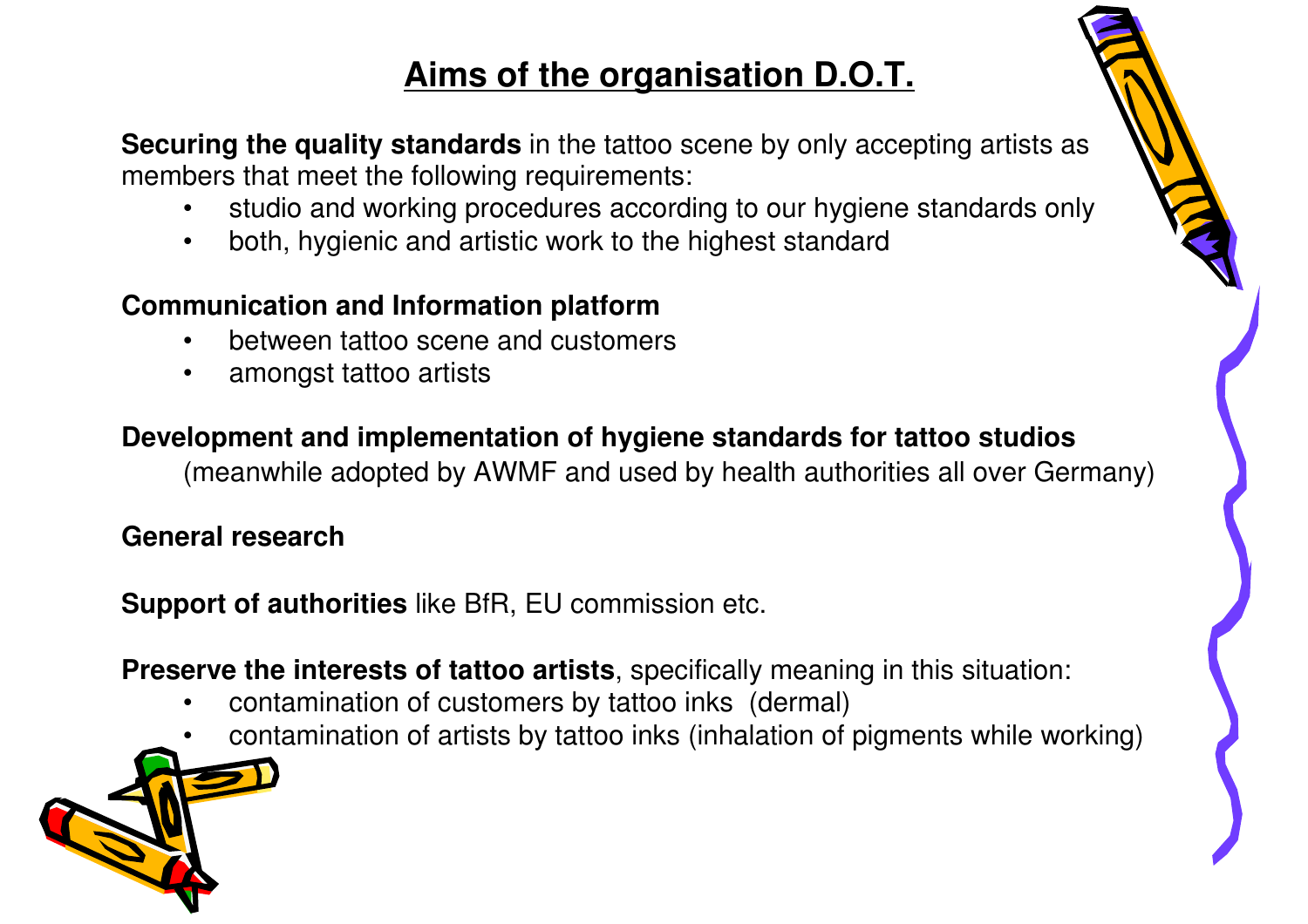### **Aims of the organisation D.O.T.**

**Securing the quality standards** in the tattoo scene by only accepting artists as members that meet the following requirements:

- •studio and working procedures according to our hygiene standards only
- $\bullet$ both, hygienic and artistic work to the highest standard

#### **Communication and Information platform**

- •between tattoo scene and customers
- •amongst tattoo artists

#### **Development and implementation of hygiene standards for tattoo studios**(meanwhile adopted by AWMF and used by health authorities all over Germany)

#### **General research**

**Support of authorities** like BfR, EU commission etc.

**Preserve the interests of tattoo artists**, specifically meaning in this situation:

- •contamination of customers by tattoo inks (dermal)
- •contamination of artists by tattoo inks (inhalation of pigments while working)

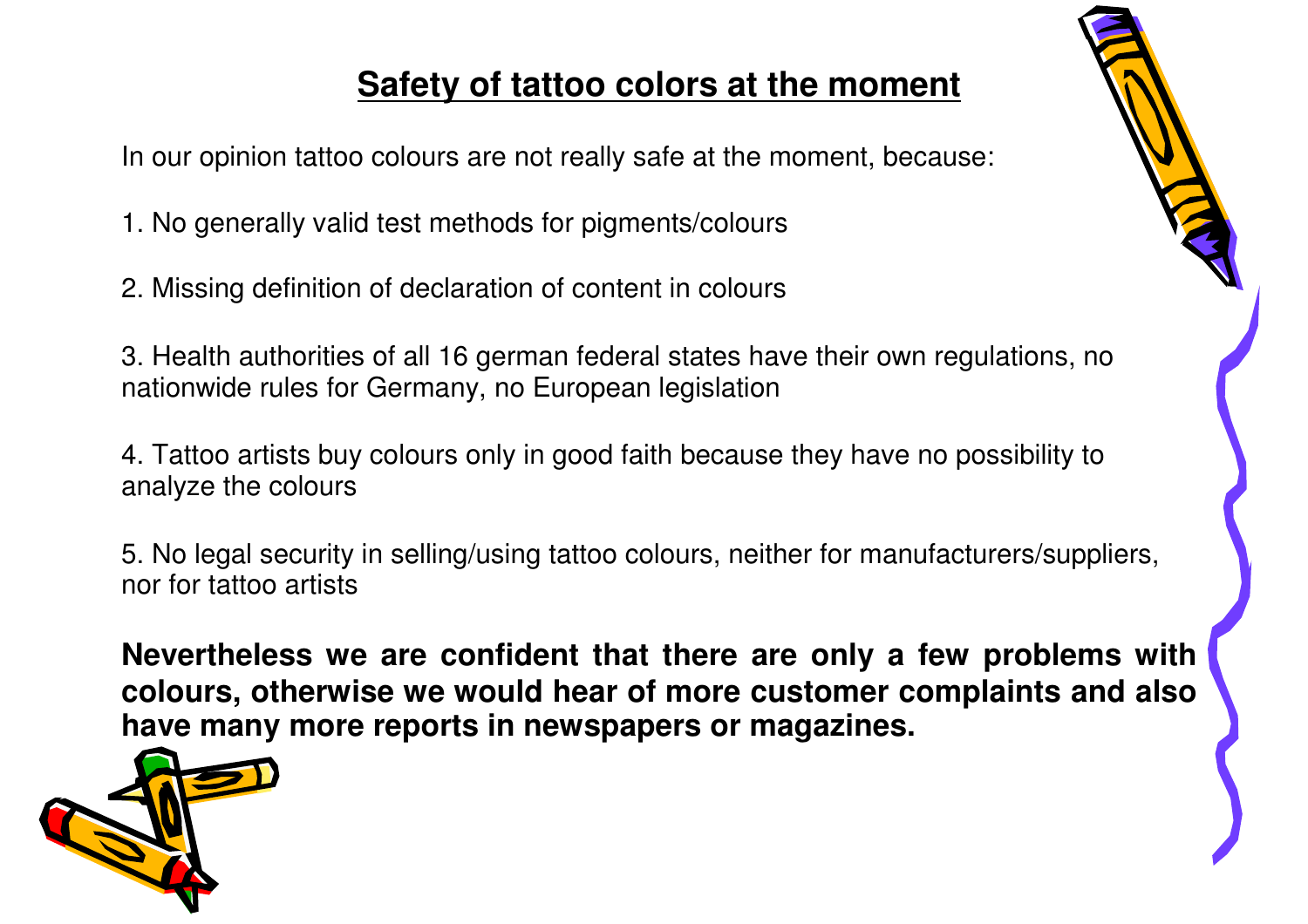### **Safety of tattoo colors at the moment**

In our opinion tattoo colours are not really safe at the moment, because:

- 1. No generally valid test methods for pigments/colours
- 2. Missing definition of declaration of content in colours

3. Health authorities of all 16 german federal states have their own regulations, no nationwide rules for Germany, no European legislation

4. Tattoo artists buy colours only in good faith because they have no possibility to analyze the colours

5. No legal security in selling/using tattoo colours, neither for manufacturers/suppliers, nor for tattoo artists

**Nevertheless we are confident that there are only a few problems with colours, otherwise we would hear of more customer complaints and also have many more reports in newspapers or magazines.**

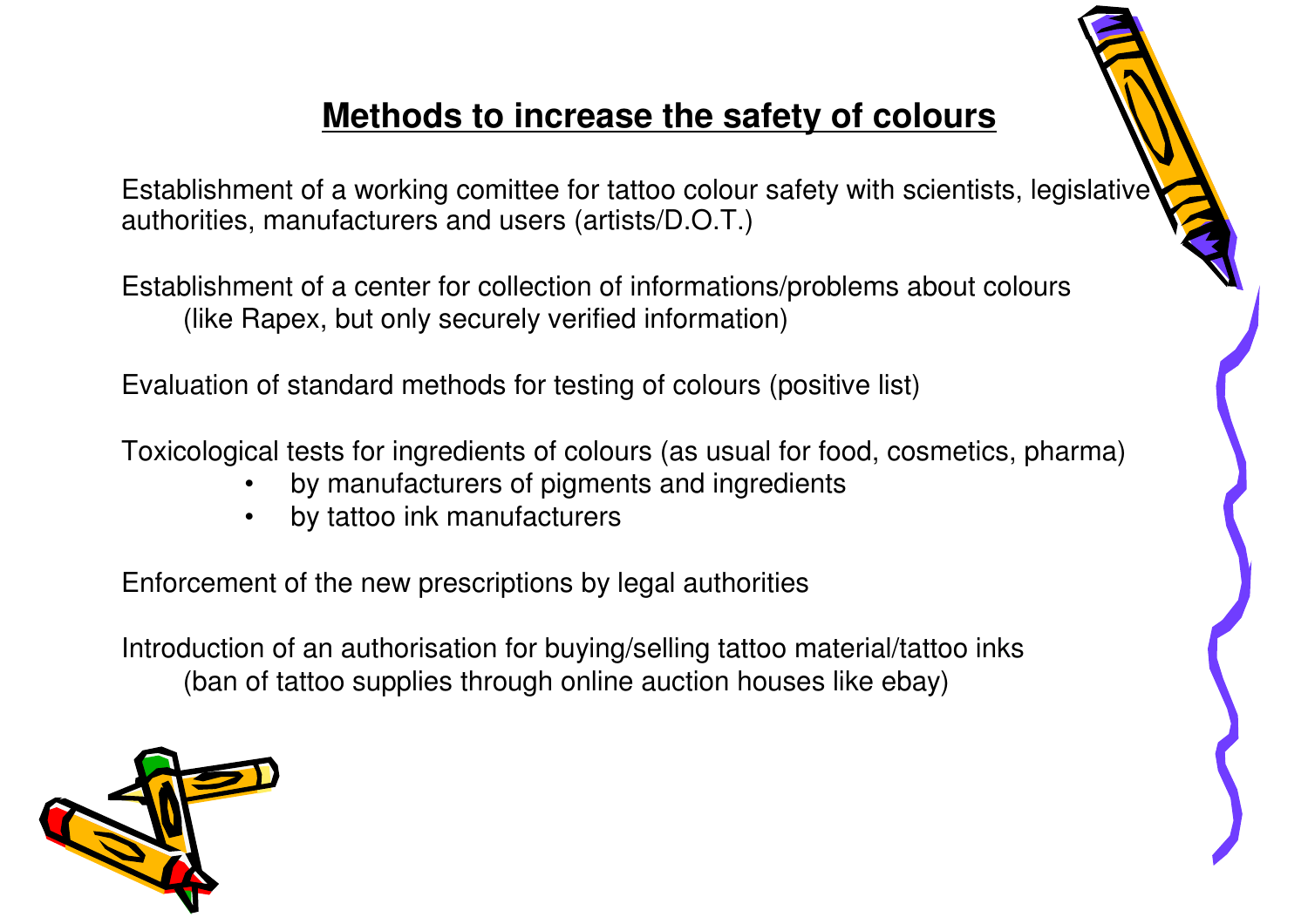### **Methods to increase the safety of colours**

Establishment of a working comittee for tattoo colour safety with scientists, legislative authorities, manufacturers and users (artists/D.O.T.)

Establishment of a center for collection of informations/problems about colours(like Rapex, but only securely verified information)

Evaluation of standard methods for testing of colours (positive list)

Toxicological tests for ingredients of colours (as usual for food, cosmetics, pharma)

- •by manufacturers of pigments and ingredients
- •by tattoo ink manufacturers

Enforcement of the new prescriptions by legal authorities

Introduction of an authorisation for buying/selling tattoo material/tattoo inks(ban of tattoo supplies through online auction houses like ebay)

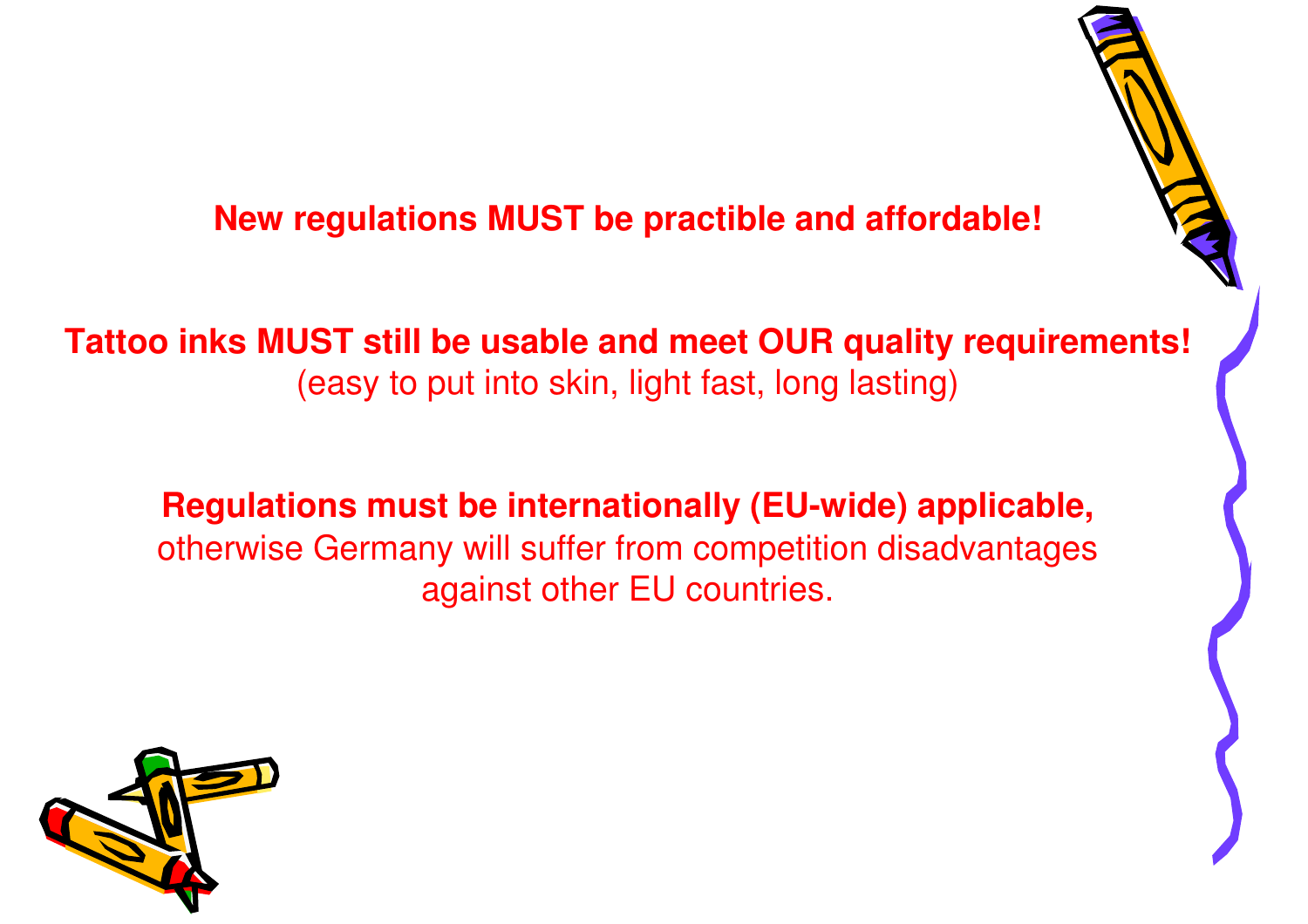



**Regulations must be internationally (EU-wide) applicable,**otherwise Germany will suffer from competition disadvantagesagainst other EU countries.

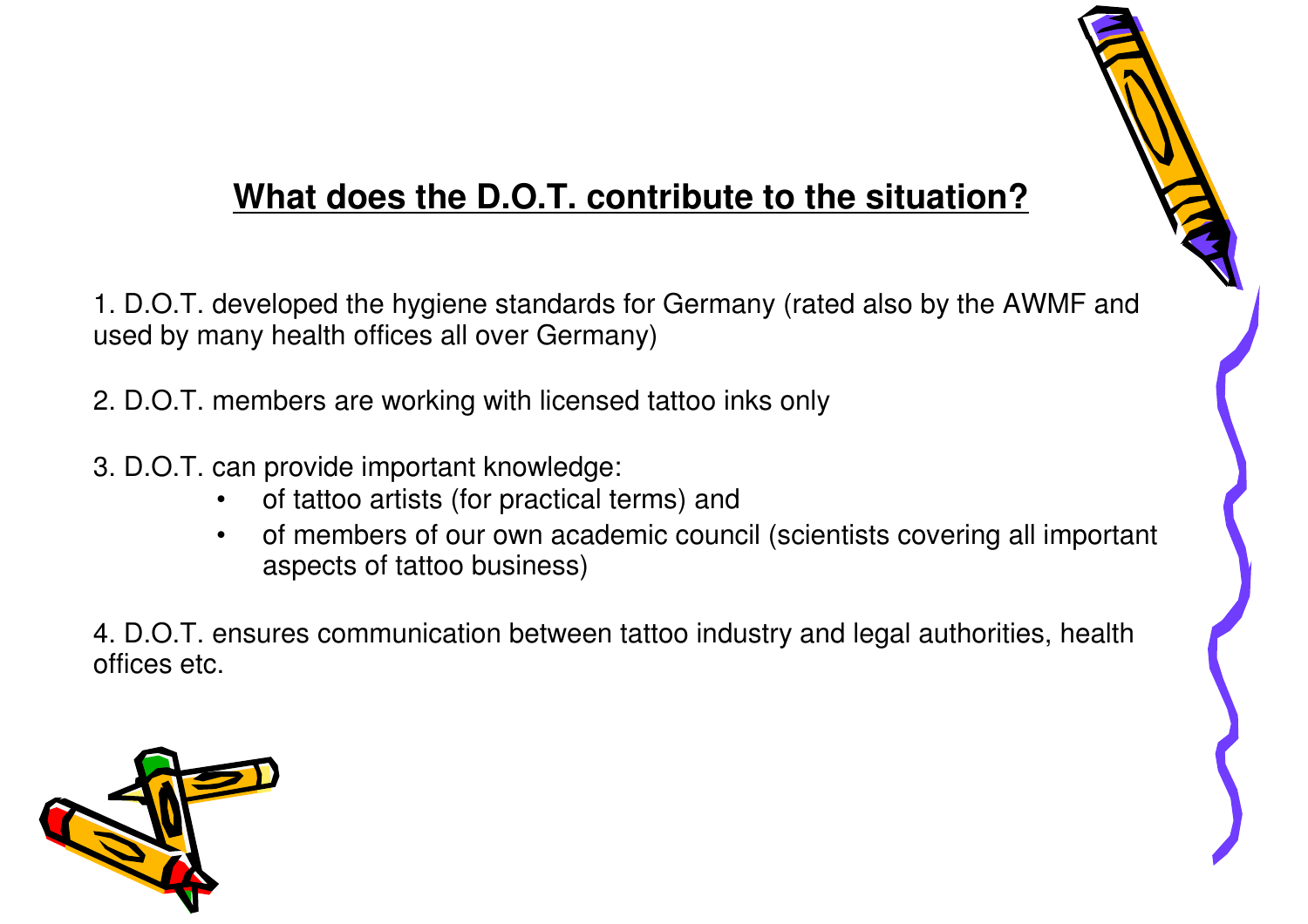### **What does the D.O.T. contribute to the situation?**

1. D.O.T. developed the hygiene standards for Germany (rated also by the AWMF and used by many health offices all over Germany)

2. D.O.T. members are working with licensed tattoo inks only

- 3. D.O.T. can provide important knowledge:
	- $\bullet$ of tattoo artists (for practical terms) and
	- of members of our own academic council (scientists covering all important •aspects of tattoo business)

4. D.O.T. ensures communication between tattoo industry and legal authorities, health offices etc.

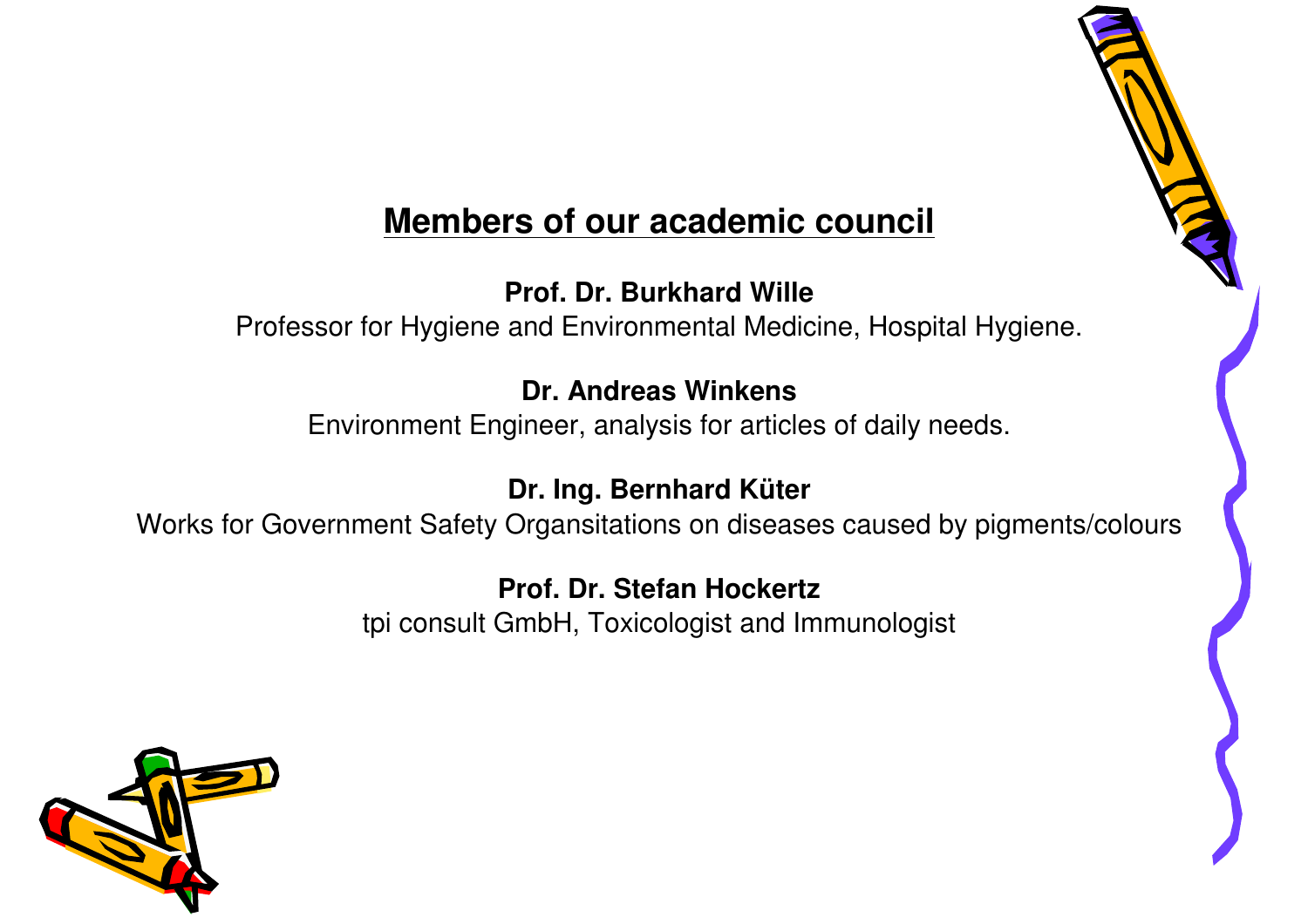### **Members of our academic council**

**Prof. Dr. Burkhard Wille**

Professor for Hygiene and Environmental Medicine, Hospital Hygiene.

#### **Dr. Andreas Winkens**

Environment Engineer, analysis for articles of daily needs.

**Dr. Ing. Bernhard Küter**

Works for Government Safety Organsitations on diseases caused by pigments/colours

**Prof. Dr. Stefan Hockertz**

tpi consult GmbH, Toxicologist and Immunologist

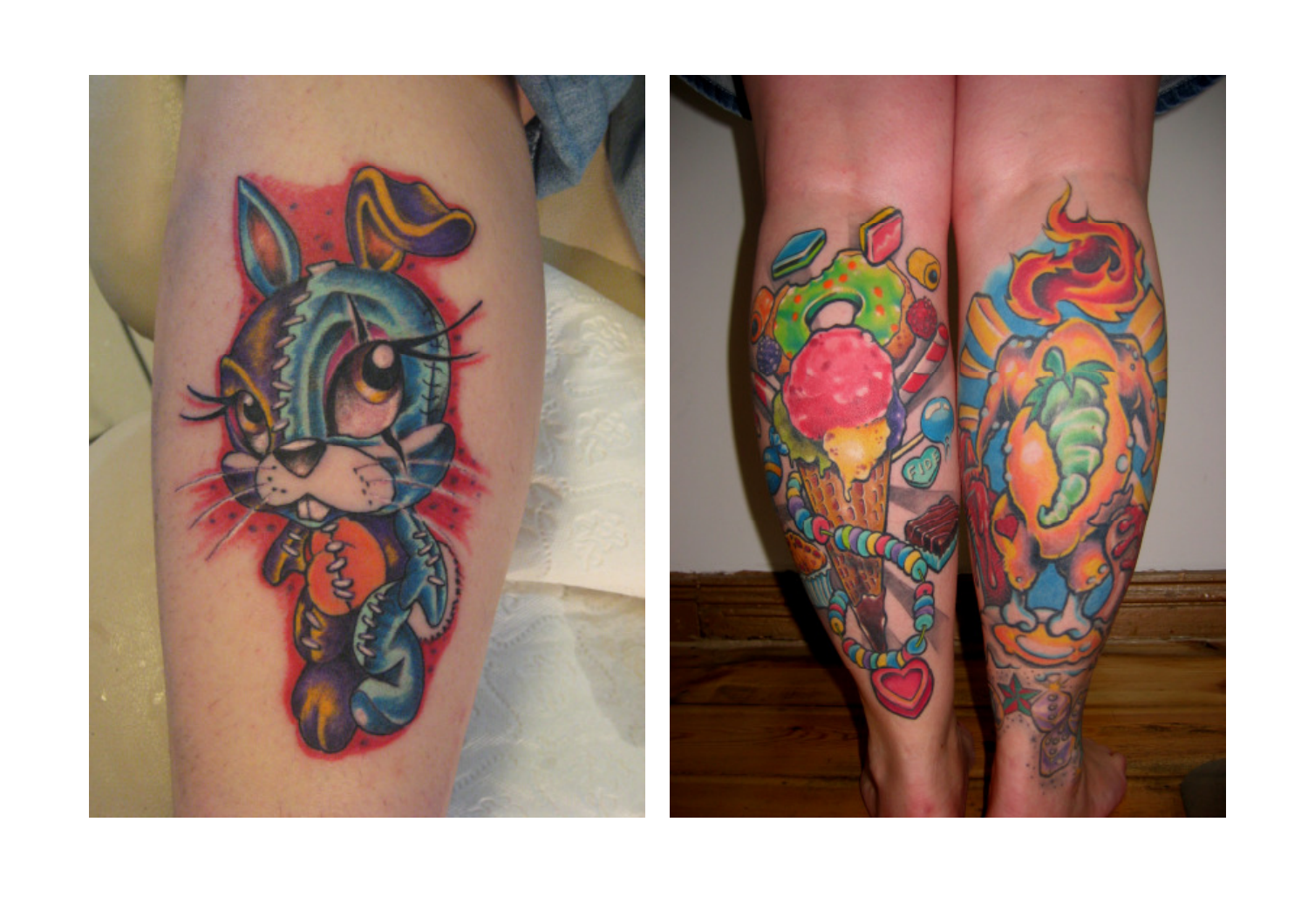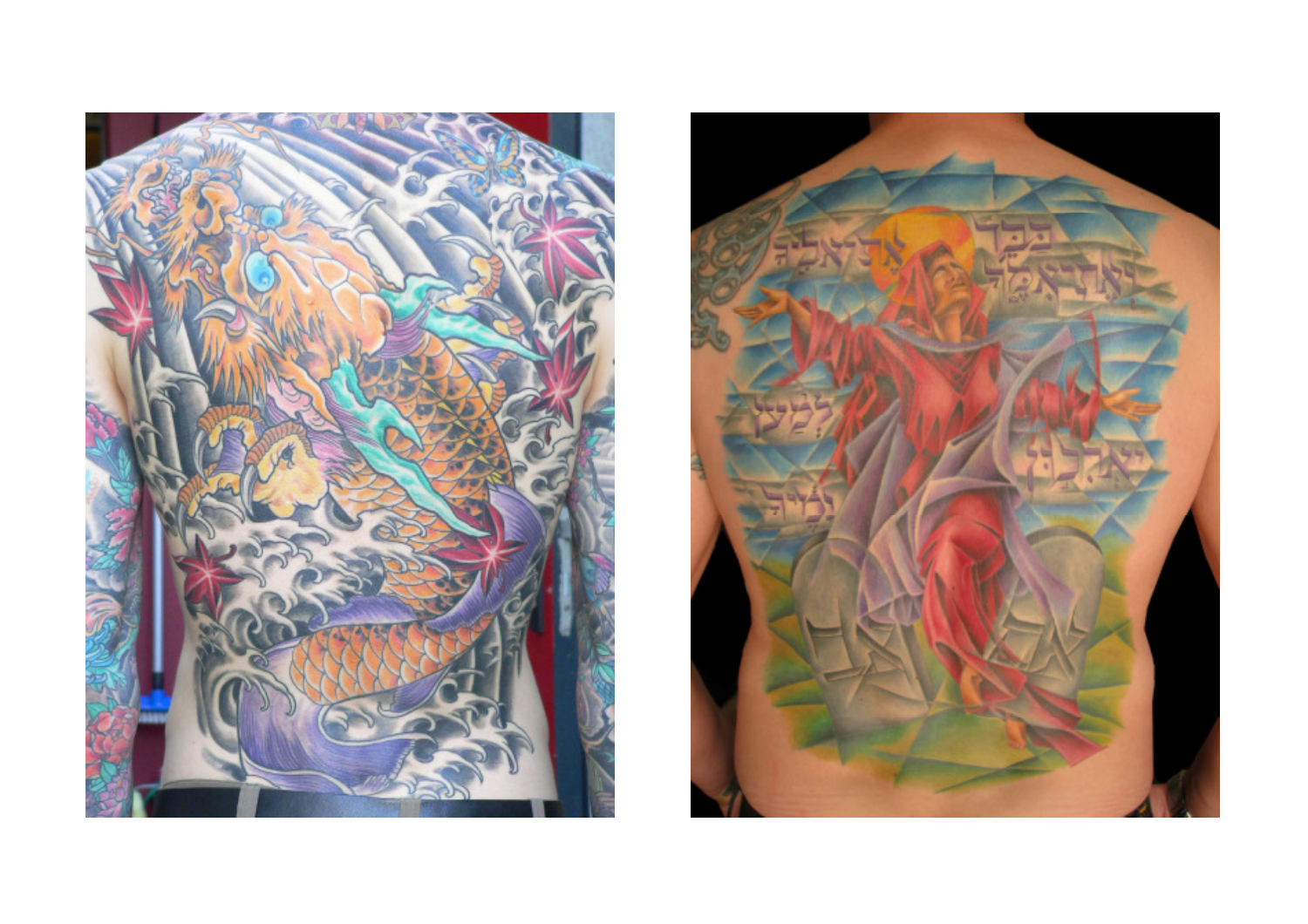